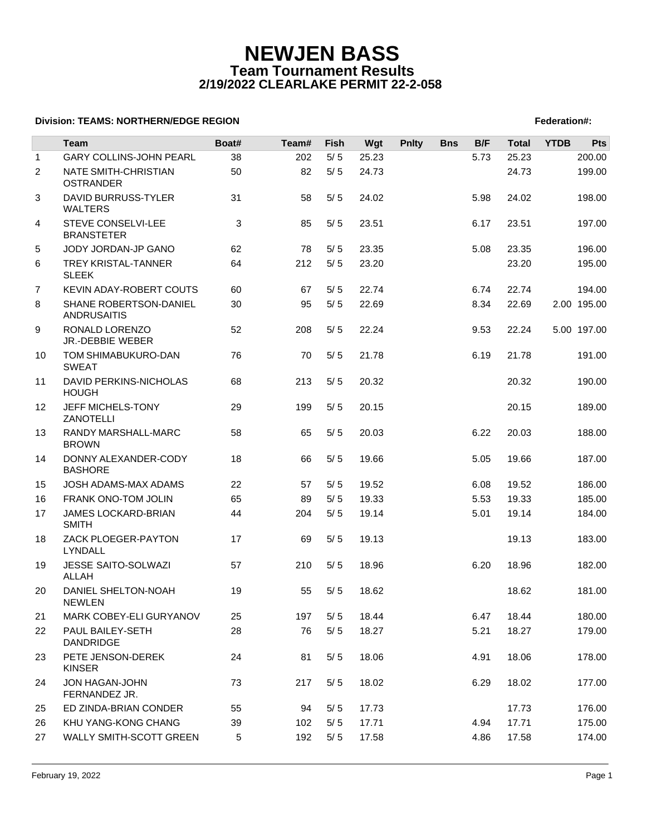### **Division: TEAMS: NORTHERN/EDGE REGION Federation#:**

|                | <b>Team</b>                                  | Boat# | Team# | Fish  | Wgt   | <b>Pnlty</b> | <b>Bns</b> | B/F  | <b>Total</b> | <b>YTDB</b> | Pts         |
|----------------|----------------------------------------------|-------|-------|-------|-------|--------------|------------|------|--------------|-------------|-------------|
| $\mathbf{1}$   | <b>GARY COLLINS-JOHN PEARL</b>               | 38    | 202   | $5/5$ | 25.23 |              |            | 5.73 | 25.23        |             | 200.00      |
| $\overline{2}$ | NATE SMITH-CHRISTIAN<br><b>OSTRANDER</b>     | 50    | 82    | $5/5$ | 24.73 |              |            |      | 24.73        |             | 199.00      |
| 3              | <b>DAVID BURRUSS-TYLER</b><br><b>WALTERS</b> | 31    | 58    | 5/5   | 24.02 |              |            | 5.98 | 24.02        |             | 198.00      |
| 4              | STEVE CONSELVI-LEE<br><b>BRANSTETER</b>      | 3     | 85    | 5/5   | 23.51 |              |            | 6.17 | 23.51        |             | 197.00      |
| 5              | JODY JORDAN-JP GANO                          | 62    | 78    | 5/5   | 23.35 |              |            | 5.08 | 23.35        |             | 196.00      |
| 6              | TREY KRISTAL-TANNER<br><b>SLEEK</b>          | 64    | 212   | 5/5   | 23.20 |              |            |      | 23.20        |             | 195.00      |
| 7              | KEVIN ADAY-ROBERT COUTS                      | 60    | 67    | 5/5   | 22.74 |              |            | 6.74 | 22.74        |             | 194.00      |
| 8              | SHANE ROBERTSON-DANIEL<br><b>ANDRUSAITIS</b> | 30    | 95    | 5/5   | 22.69 |              |            | 8.34 | 22.69        |             | 2.00 195.00 |
| 9              | RONALD LORENZO<br>JR.-DEBBIE WEBER           | 52    | 208   | 5/5   | 22.24 |              |            | 9.53 | 22.24        |             | 5.00 197.00 |
| 10             | TOM SHIMABUKURO-DAN<br><b>SWEAT</b>          | 76    | 70    | 5/5   | 21.78 |              |            | 6.19 | 21.78        |             | 191.00      |
| 11             | DAVID PERKINS-NICHOLAS<br><b>HOUGH</b>       | 68    | 213   | 5/5   | 20.32 |              |            |      | 20.32        |             | 190.00      |
| 12             | JEFF MICHELS-TONY<br>ZANOTELLI               | 29    | 199   | 5/5   | 20.15 |              |            |      | 20.15        |             | 189.00      |
| 13             | RANDY MARSHALL-MARC<br><b>BROWN</b>          | 58    | 65    | 5/5   | 20.03 |              |            | 6.22 | 20.03        |             | 188.00      |
| 14             | DONNY ALEXANDER-CODY<br><b>BASHORE</b>       | 18    | 66    | 5/5   | 19.66 |              |            | 5.05 | 19.66        |             | 187.00      |
| 15             | JOSH ADAMS-MAX ADAMS                         | 22    | 57    | 5/5   | 19.52 |              |            | 6.08 | 19.52        |             | 186.00      |
| 16             | FRANK ONO-TOM JOLIN                          | 65    | 89    | 5/5   | 19.33 |              |            | 5.53 | 19.33        |             | 185.00      |
| 17             | JAMES LOCKARD-BRIAN<br><b>SMITH</b>          | 44    | 204   | 5/5   | 19.14 |              |            | 5.01 | 19.14        |             | 184.00      |
| 18             | ZACK PLOEGER-PAYTON<br><b>LYNDALL</b>        | 17    | 69    | 5/5   | 19.13 |              |            |      | 19.13        |             | 183.00      |
| 19             | JESSE SAITO-SOLWAZI<br>ALLAH                 | 57    | 210   | 5/5   | 18.96 |              |            | 6.20 | 18.96        |             | 182.00      |
| 20             | DANIEL SHELTON-NOAH<br><b>NEWLEN</b>         | 19    | 55    | 5/5   | 18.62 |              |            |      | 18.62        |             | 181.00      |
| 21             | MARK COBEY-ELI GURYANOV                      | 25    | 197   | 5/5   | 18.44 |              |            | 6.47 | 18.44        |             | 180.00      |
| 22             | PAUL BAILEY-SETH<br><b>DANDRIDGE</b>         | 28    | 76    | 5/5   | 18.27 |              |            | 5.21 | 18.27        |             | 179.00      |
| 23             | PETE JENSON-DEREK<br><b>KINSER</b>           | 24    | 81    | 5/5   | 18.06 |              |            | 4.91 | 18.06        |             | 178.00      |
| 24             | JON HAGAN-JOHN<br>FERNANDEZ JR.              | 73    | 217   | 5/5   | 18.02 |              |            | 6.29 | 18.02        |             | 177.00      |
| 25             | ED ZINDA-BRIAN CONDER                        | 55    | 94    | 5/5   | 17.73 |              |            |      | 17.73        |             | 176.00      |
| 26             | KHU YANG-KONG CHANG                          | 39    | 102   | 5/5   | 17.71 |              |            | 4.94 | 17.71        |             | 175.00      |
| 27             | <b>WALLY SMITH-SCOTT GREEN</b>               | 5     | 192   | 5/5   | 17.58 |              |            | 4.86 | 17.58        |             | 174.00      |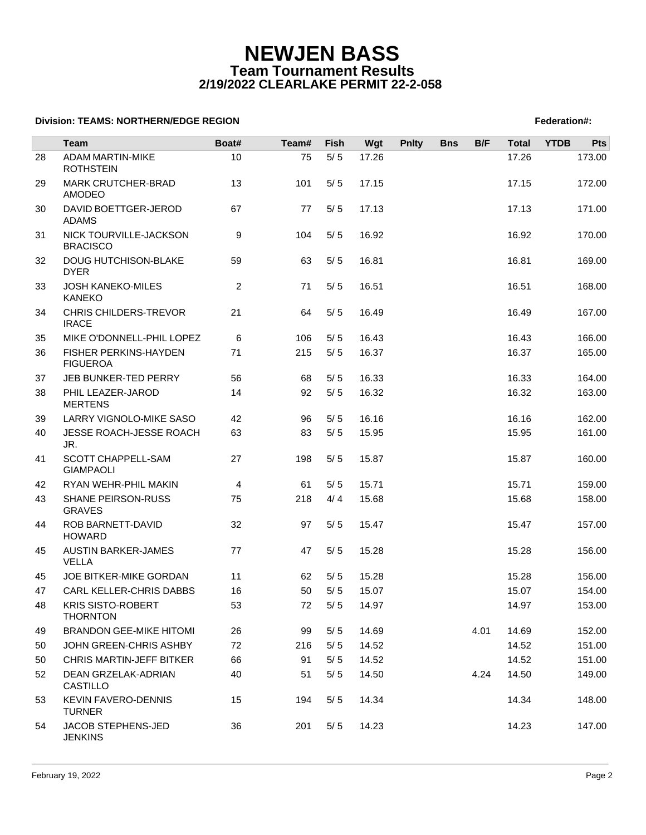### **Division: TEAMS: NORTHERN/EDGE REGION Federation#:**

|    | Team                                        | Boat# | Team# | Fish  | Wgt   | <b>Pnlty</b> | <b>Bns</b> | B/F  | <b>Total</b> | <b>YTDB</b> | <b>Pts</b> |
|----|---------------------------------------------|-------|-------|-------|-------|--------------|------------|------|--------------|-------------|------------|
|    | <b>ADAM MARTIN-MIKE</b>                     | 10    |       | $5/5$ |       |              |            |      | 17.26        |             |            |
| 28 | <b>ROTHSTEIN</b>                            |       | 75    |       | 17.26 |              |            |      |              |             | 173.00     |
| 29 | MARK CRUTCHER-BRAD<br><b>AMODEO</b>         | 13    | 101   | 5/5   | 17.15 |              |            |      | 17.15        |             | 172.00     |
| 30 | DAVID BOETTGER-JEROD<br><b>ADAMS</b>        | 67    | 77    | 5/5   | 17.13 |              |            |      | 17.13        |             | 171.00     |
| 31 | NICK TOURVILLE-JACKSON<br><b>BRACISCO</b>   | 9     | 104   | 5/5   | 16.92 |              |            |      | 16.92        |             | 170.00     |
| 32 | <b>DOUG HUTCHISON-BLAKE</b><br><b>DYER</b>  | 59    | 63    | 5/5   | 16.81 |              |            |      | 16.81        |             | 169.00     |
| 33 | <b>JOSH KANEKO-MILES</b><br><b>KANEKO</b>   | 2     | 71    | 5/5   | 16.51 |              |            |      | 16.51        |             | 168.00     |
| 34 | CHRIS CHILDERS-TREVOR<br><b>IRACE</b>       | 21    | 64    | 5/5   | 16.49 |              |            |      | 16.49        |             | 167.00     |
| 35 | MIKE O'DONNELL-PHIL LOPEZ                   | 6     | 106   | 5/5   | 16.43 |              |            |      | 16.43        |             | 166.00     |
| 36 | FISHER PERKINS-HAYDEN<br><b>FIGUEROA</b>    | 71    | 215   | 5/5   | 16.37 |              |            |      | 16.37        |             | 165.00     |
| 37 | JEB BUNKER-TED PERRY                        | 56    | 68    | 5/5   | 16.33 |              |            |      | 16.33        |             | 164.00     |
| 38 | PHIL LEAZER-JAROD<br><b>MERTENS</b>         | 14    | 92    | $5/5$ | 16.32 |              |            |      | 16.32        |             | 163.00     |
| 39 | LARRY VIGNOLO-MIKE SASO                     | 42    | 96    | 5/5   | 16.16 |              |            |      | 16.16        |             | 162.00     |
| 40 | JESSE ROACH-JESSE ROACH<br>JR.              | 63    | 83    | 5/5   | 15.95 |              |            |      | 15.95        |             | 161.00     |
| 41 | SCOTT CHAPPELL-SAM<br><b>GIAMPAOLI</b>      | 27    | 198   | 5/5   | 15.87 |              |            |      | 15.87        |             | 160.00     |
| 42 | RYAN WEHR-PHIL MAKIN                        | 4     | 61    | 5/5   | 15.71 |              |            |      | 15.71        |             | 159.00     |
| 43 | SHANE PEIRSON-RUSS<br><b>GRAVES</b>         | 75    | 218   | 4/4   | 15.68 |              |            |      | 15.68        |             | 158.00     |
| 44 | ROB BARNETT-DAVID<br><b>HOWARD</b>          | 32    | 97    | 5/5   | 15.47 |              |            |      | 15.47        |             | 157.00     |
| 45 | <b>AUSTIN BARKER-JAMES</b><br><b>VELLA</b>  | 77    | 47    | 5/5   | 15.28 |              |            |      | 15.28        |             | 156.00     |
| 45 | JOE BITKER-MIKE GORDAN                      | 11    | 62    | 5/5   | 15.28 |              |            |      | 15.28        |             | 156.00     |
| 47 | CARL KELLER-CHRIS DABBS                     | 16    | 50    | 5/5   | 15.07 |              |            |      | 15.07        |             | 154.00     |
| 48 | <b>KRIS SISTO-ROBERT</b><br><b>THORNTON</b> | 53    | 72    | 5/5   | 14.97 |              |            |      | 14.97        |             | 153.00     |
| 49 | <b>BRANDON GEE-MIKE HITOMI</b>              | 26    | 99    | 5/5   | 14.69 |              |            | 4.01 | 14.69        |             | 152.00     |
| 50 | JOHN GREEN-CHRIS ASHBY                      | 72    | 216   | 5/5   | 14.52 |              |            |      | 14.52        |             | 151.00     |
| 50 | <b>CHRIS MARTIN-JEFF BITKER</b>             | 66    | 91    | 5/5   | 14.52 |              |            |      | 14.52        |             | 151.00     |
| 52 | DEAN GRZELAK-ADRIAN<br>CASTILLO             | 40    | 51    | 5/5   | 14.50 |              |            | 4.24 | 14.50        |             | 149.00     |
| 53 | <b>KEVIN FAVERO-DENNIS</b><br><b>TURNER</b> | 15    | 194   | 5/5   | 14.34 |              |            |      | 14.34        |             | 148.00     |
| 54 | JACOB STEPHENS-JED<br><b>JENKINS</b>        | 36    | 201   | 5/5   | 14.23 |              |            |      | 14.23        |             | 147.00     |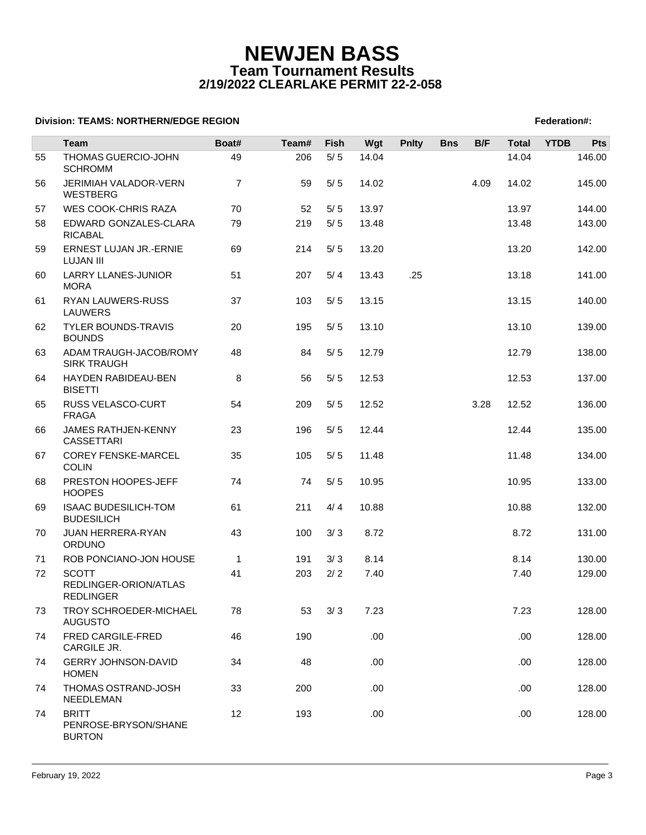### **Division: TEAMS: NORTHERN/EDGE REGION Federation#:**

|    | <b>Team</b>                                               | Boat#          | Team# | Fish  | Wgt   | <b>Pnlty</b> | <b>Bns</b> | B/F  | <b>Total</b> | <b>YTDB</b> | <b>Pts</b> |
|----|-----------------------------------------------------------|----------------|-------|-------|-------|--------------|------------|------|--------------|-------------|------------|
| 55 | THOMAS GUERCIO-JOHN<br><b>SCHROMM</b>                     | 49             | 206   | $5/5$ | 14.04 |              |            |      | 14.04        |             | 146.00     |
| 56 | JERIMIAH VALADOR-VERN<br><b>WESTBERG</b>                  | $\overline{7}$ | 59    | 5/5   | 14.02 |              |            | 4.09 | 14.02        |             | 145.00     |
| 57 | <b>WES COOK-CHRIS RAZA</b>                                | 70             | 52    | 5/5   | 13.97 |              |            |      | 13.97        |             | 144.00     |
| 58 | EDWARD GONZALES-CLARA<br><b>RICABAL</b>                   | 79             | 219   | 5/5   | 13.48 |              |            |      | 13.48        |             | 143.00     |
| 59 | <b>ERNEST LUJAN JR.-ERNIE</b><br><b>LUJAN III</b>         | 69             | 214   | 5/5   | 13.20 |              |            |      | 13.20        |             | 142.00     |
| 60 | <b>LARRY LLANES-JUNIOR</b><br><b>MORA</b>                 | 51             | 207   | 5/4   | 13.43 | .25          |            |      | 13.18        |             | 141.00     |
| 61 | RYAN LAUWERS-RUSS<br>LAUWERS                              | 37             | 103   | 5/5   | 13.15 |              |            |      | 13.15        |             | 140.00     |
| 62 | <b>TYLER BOUNDS-TRAVIS</b><br><b>BOUNDS</b>               | 20             | 195   | 5/5   | 13.10 |              |            |      | 13.10        |             | 139.00     |
| 63 | ADAM TRAUGH-JACOB/ROMY<br><b>SIRK TRAUGH</b>              | 48             | 84    | 5/5   | 12.79 |              |            |      | 12.79        |             | 138.00     |
| 64 | HAYDEN RABIDEAU-BEN<br><b>BISETTI</b>                     | 8              | 56    | 5/5   | 12.53 |              |            |      | 12.53        |             | 137.00     |
| 65 | RUSS VELASCO-CURT<br><b>FRAGA</b>                         | 54             | 209   | 5/5   | 12.52 |              |            | 3.28 | 12.52        |             | 136.00     |
| 66 | JAMES RATHJEN-KENNY<br>CASSETTARI                         | 23             | 196   | 5/5   | 12.44 |              |            |      | 12.44        |             | 135.00     |
| 67 | <b>COREY FENSKE-MARCEL</b><br><b>COLIN</b>                | 35             | 105   | 5/5   | 11.48 |              |            |      | 11.48        |             | 134.00     |
| 68 | PRESTON HOOPES-JEFF<br><b>HOOPES</b>                      | 74             | 74    | 5/5   | 10.95 |              |            |      | 10.95        |             | 133.00     |
| 69 | <b>ISAAC BUDESILICH-TOM</b><br><b>BUDESILICH</b>          | 61             | 211   | 4/4   | 10.88 |              |            |      | 10.88        |             | 132.00     |
| 70 | JUAN HERRERA-RYAN<br>ORDUNO                               | 43             | 100   | 3/3   | 8.72  |              |            |      | 8.72         |             | 131.00     |
| 71 | ROB PONCIANO-JON HOUSE                                    | $\mathbf{1}$   | 191   | 3/3   | 8.14  |              |            |      | 8.14         |             | 130.00     |
| 72 | <b>SCOTT</b><br>REDLINGER-ORION/ATLAS<br><b>REDLINGER</b> | 41             | 203   | 2/2   | 7.40  |              |            |      | 7.40         |             | 129.00     |
| 73 | TROY SCHROEDER-MICHAEL<br><b>AUGUSTO</b>                  | 78             | 53    | 3/3   | 7.23  |              |            |      | 7.23         |             | 128.00     |
| 74 | FRED CARGILE-FRED<br>CARGILE JR.                          | 46             | 190   |       | .00   |              |            |      | .00.         |             | 128.00     |
| 74 | <b>GERRY JOHNSON-DAVID</b><br><b>HOMEN</b>                | 34             | 48    |       | .00   |              |            |      | .00.         |             | 128.00     |
| 74 | THOMAS OSTRAND-JOSH<br>NEEDLEMAN                          | 33             | 200   |       | .00.  |              |            |      | .00.         |             | 128.00     |
| 74 | <b>BRITT</b><br>PENROSE-BRYSON/SHANE<br><b>BURTON</b>     | 12             | 193   |       | .00.  |              |            |      | .00.         |             | 128.00     |